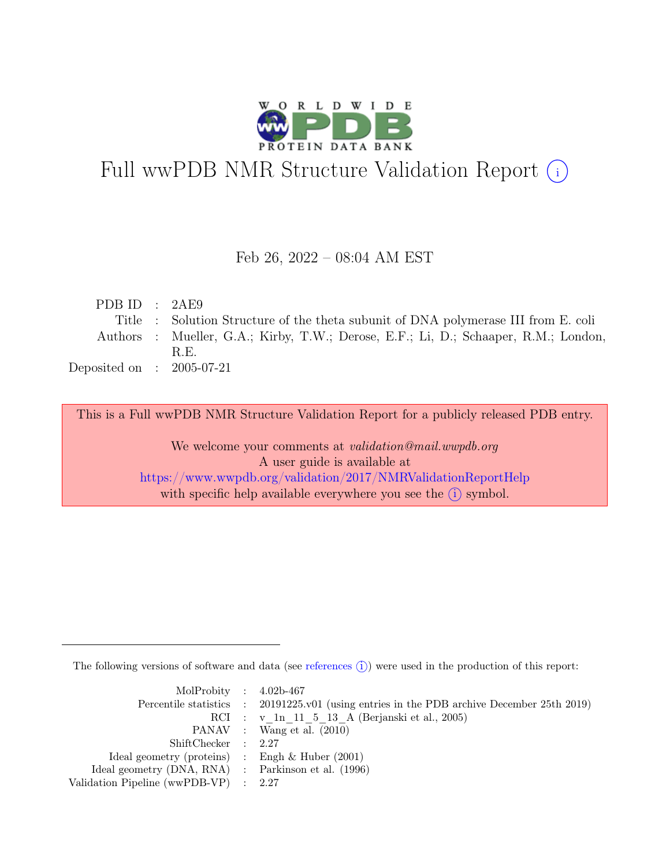

# Full wwPDB NMR Structure Validation Report (i)

#### Feb 26, 2022 – 08:04 AM EST

| PDB ID : $2AE9$             |                                                                                     |
|-----------------------------|-------------------------------------------------------------------------------------|
|                             | Title : Solution Structure of the theta subunit of DNA polymerase III from E. coli  |
|                             | Authors : Mueller, G.A.; Kirby, T.W.; Derose, E.F.; Li, D.; Schaaper, R.M.; London, |
|                             | R.E.                                                                                |
| Deposited on : $2005-07-21$ |                                                                                     |

This is a Full wwPDB NMR Structure Validation Report for a publicly released PDB entry.

We welcome your comments at *validation@mail.wwpdb.org* A user guide is available at <https://www.wwpdb.org/validation/2017/NMRValidationReportHelp> with specific help available everywhere you see the  $(i)$  symbol.

The following versions of software and data (see [references](https://www.wwpdb.org/validation/2017/NMRValidationReportHelp#references)  $\hat{I}$ ) were used in the production of this report:

| MolProbity : $4.02b-467$                            |                                                                                            |
|-----------------------------------------------------|--------------------------------------------------------------------------------------------|
|                                                     | Percentile statistics : 20191225.v01 (using entries in the PDB archive December 25th 2019) |
|                                                     | RCI : v 1n 11 5 13 A (Berjanski et al., 2005)                                              |
|                                                     | PANAV : Wang et al. (2010)                                                                 |
| ShiftChecker : 2.27                                 |                                                                                            |
| Ideal geometry (proteins) : Engh $\&$ Huber (2001)  |                                                                                            |
| Ideal geometry (DNA, RNA) : Parkinson et al. (1996) |                                                                                            |
| Validation Pipeline (wwPDB-VP) : 2.27               |                                                                                            |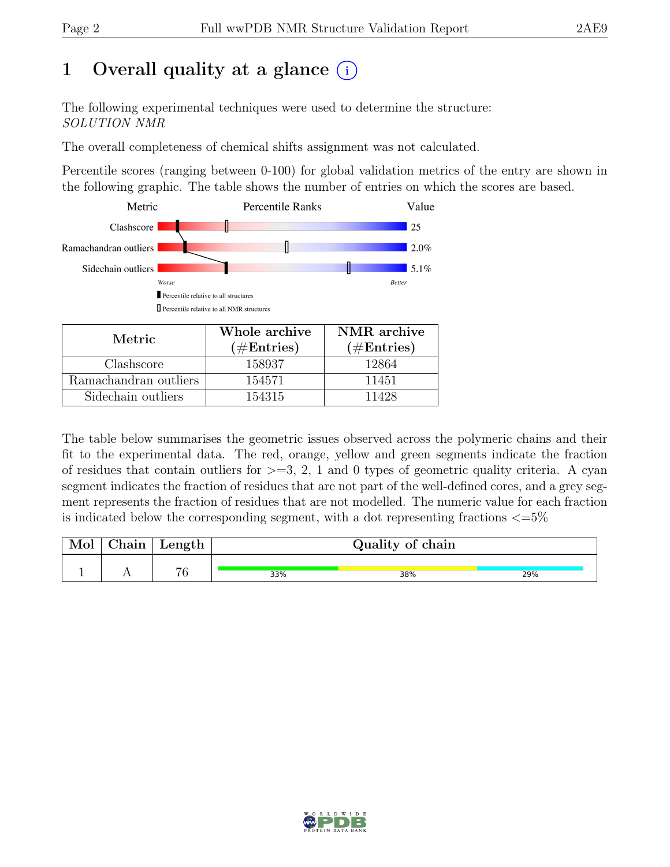# 1 Overall quality at a glance  $(i)$

The following experimental techniques were used to determine the structure: SOLUTION NMR

The overall completeness of chemical shifts assignment was not calculated.

Percentile scores (ranging between 0-100) for global validation metrics of the entry are shown in the following graphic. The table shows the number of entries on which the scores are based.



| Metric.               | Whole archive | NMR archive          |
|-----------------------|---------------|----------------------|
|                       | $(\#Entries)$ | $(\#\text{Entries})$ |
| Clashscore            | 158937        | 12864                |
| Ramachandran outliers | 154571        | 11451                |
| Sidechain outliers    | 154315        | 11428                |

The table below summarises the geometric issues observed across the polymeric chains and their fit to the experimental data. The red, orange, yellow and green segments indicate the fraction of residues that contain outliers for  $>=$  3, 2, 1 and 0 types of geometric quality criteria. A cyan segment indicates the fraction of residues that are not part of the well-defined cores, and a grey segment represents the fraction of residues that are not modelled. The numeric value for each fraction is indicated below the corresponding segment, with a dot representing fractions  $\langle=5\%$ 

| Mol | ${\rm Chain}$ | Length |     | Quality of chain |     |
|-----|---------------|--------|-----|------------------|-----|
|     |               | 76     | 33% | 38%              | 29% |

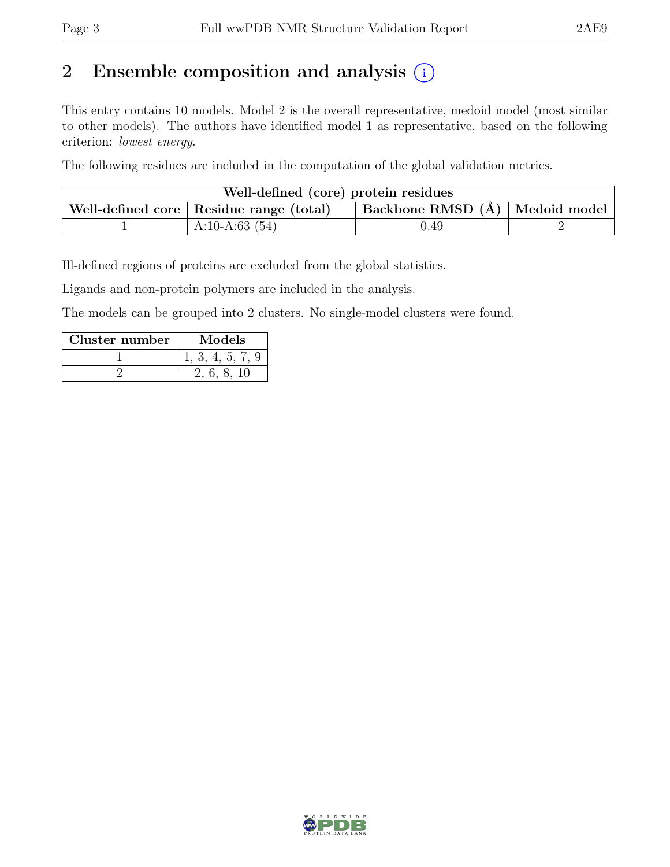# 2 Ensemble composition and analysis  $(i)$

This entry contains 10 models. Model 2 is the overall representative, medoid model (most similar to other models). The authors have identified model 1 as representative, based on the following criterion: lowest energy.

The following residues are included in the computation of the global validation metrics.

| Well-defined (core) protein residues |                                                                                                   |      |  |  |  |  |
|--------------------------------------|---------------------------------------------------------------------------------------------------|------|--|--|--|--|
|                                      | $\perp$ Backbone RMSD (Å) $\mid$ Medoid model $\mid$<br>Well-defined core   Residue range (total) |      |  |  |  |  |
|                                      | A:10-A:63 $(54)$                                                                                  | 1.49 |  |  |  |  |

Ill-defined regions of proteins are excluded from the global statistics.

Ligands and non-protein polymers are included in the analysis.

The models can be grouped into 2 clusters. No single-model clusters were found.

| Cluster number | <b>Models</b>    |
|----------------|------------------|
|                | 1, 3, 4, 5, 7, 9 |
|                | 2, 6, 8, 10      |

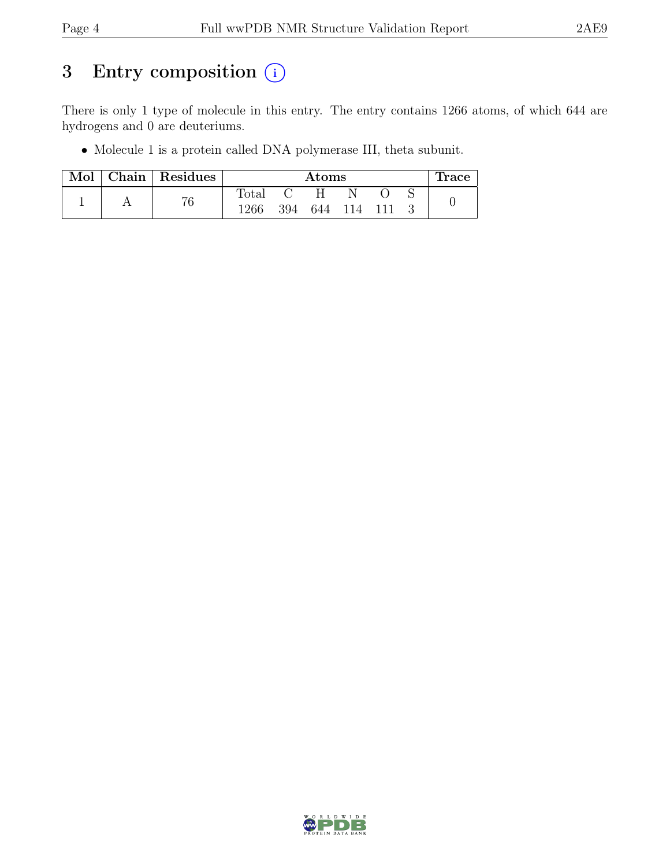# 3 Entry composition  $(i)$

There is only 1 type of molecule in this entry. The entry contains 1266 atoms, of which 644 are hydrogens and 0 are deuteriums.

• Molecule 1 is a protein called DNA polymerase III, theta subunit.

| Mol |  | $ $ Chain $ $ Residues |                | Atoms |     |       |  | Trace |  |
|-----|--|------------------------|----------------|-------|-----|-------|--|-------|--|
|     |  |                        | $_{\rm Total}$ |       | н   |       |  |       |  |
|     |  | 76                     | 1266           | 394   | 644 | - 114 |  |       |  |

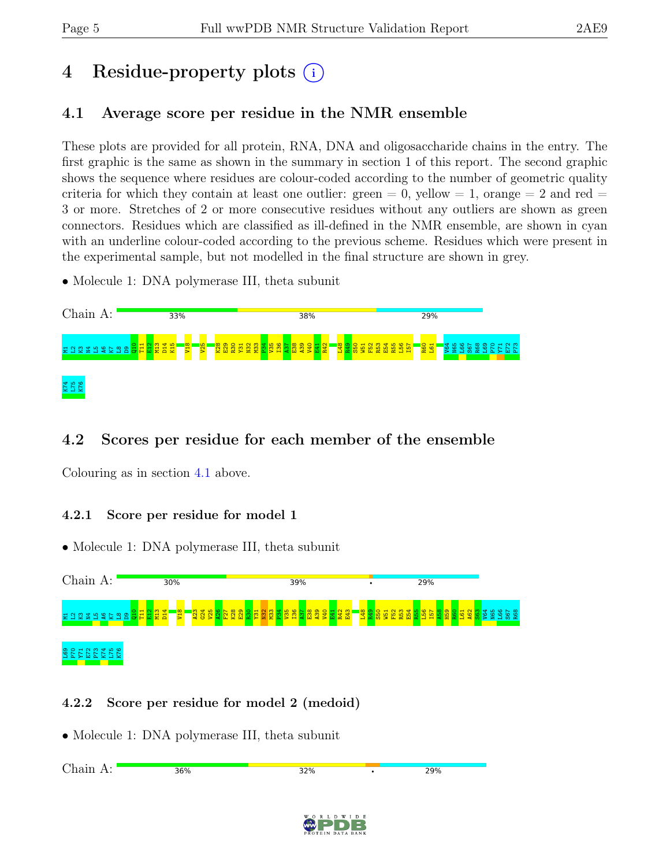# 4 Residue-property plots (i)

### <span id="page-4-0"></span>4.1 Average score per residue in the NMR ensemble

These plots are provided for all protein, RNA, DNA and oligosaccharide chains in the entry. The first graphic is the same as shown in the summary in section 1 of this report. The second graphic shows the sequence where residues are colour-coded according to the number of geometric quality criteria for which they contain at least one outlier: green  $= 0$ , yellow  $= 1$ , orange  $= 2$  and red  $=$ 3 or more. Stretches of 2 or more consecutive residues without any outliers are shown as green connectors. Residues which are classified as ill-defined in the NMR ensemble, are shown in cyan with an underline colour-coded according to the previous scheme. Residues which were present in the experimental sample, but not modelled in the final structure are shown in grey.

• Molecule 1: DNA polymerase III, theta subunit



### 4.2 Scores per residue for each member of the ensemble

Colouring as in section [4.1](#page-4-0) above.

### 4.2.1 Score per residue for model 1

• Molecule 1: DNA polymerase III, theta subunit



### 4.2.2 Score per residue for model 2 (medoid)

• Molecule 1: DNA polymerase III, theta subunit

| Choin<br>д.<br>.<br><b>ILLULLI</b><br>◡ | 36% | 32% | 29% |
|-----------------------------------------|-----|-----|-----|
|                                         |     |     |     |
|                                         |     |     |     |

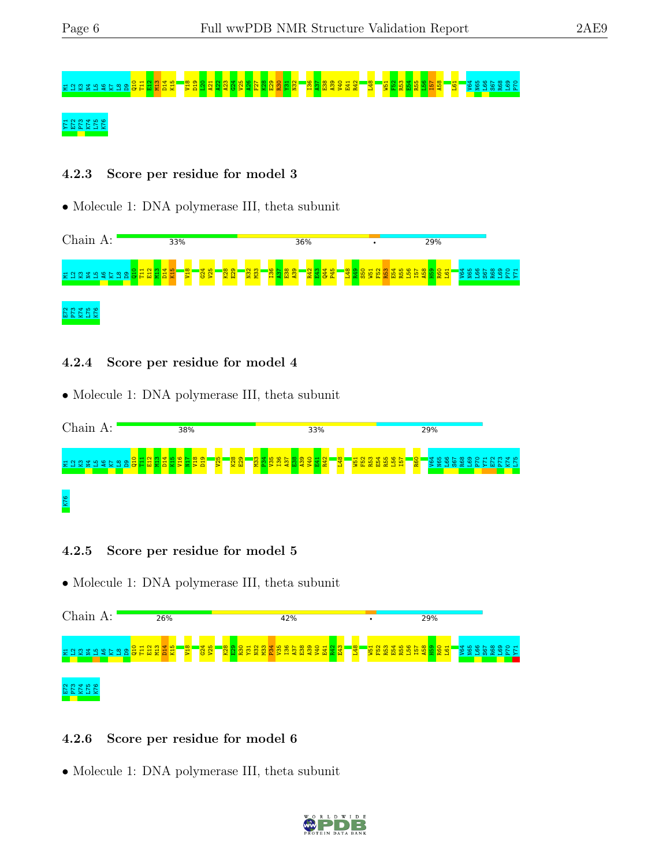# M12 S 2 A2 2 A2 S 2 T 2 B 2 3 A26 F28 A39 A39 A39 A26 A38 A39 T32 T32 T32 T32 T32 T32 E39 B26 B26 T32 T31 T32

### 72 E72 E72<br>2022 E72 E73

#### 4.2.3 Score per residue for model 3

• Molecule 1: DNA polymerase III, theta subunit



#### 4.2.4 Score per residue for model 4

• Molecule 1: DNA polymerase III, theta subunit



#### 4.2.5 Score per residue for model 5

• Molecule 1: DNA polymerase III, theta subunit



#### 4.2.6 Score per residue for model 6

• Molecule 1: DNA polymerase III, theta subunit

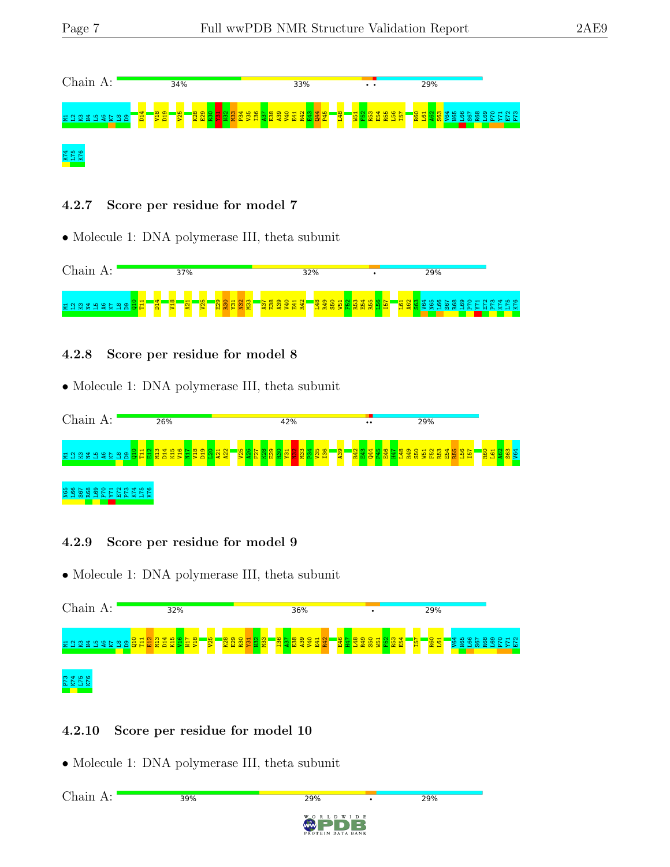

4.2.7 Score per residue for model 7

• Molecule 1: DNA polymerase III, theta subunit



#### 4.2.8 Score per residue for model 8

• Molecule 1: DNA polymerase III, theta subunit



#### 4.2.9 Score per residue for model 9

• Molecule 1: DNA polymerase III, theta subunit

| Chain A:                  | 32%                                                                                    | 36%                                                                                                   | ٠                                       | 29%           |     |
|---------------------------|----------------------------------------------------------------------------------------|-------------------------------------------------------------------------------------------------------|-----------------------------------------|---------------|-----|
| 불일영발법                     | $\frac{1}{25}$<br>$\circ$<br>H <sub>N</sub><br><u>ത</u><br><b>+</b><br><b>ENSEXSES</b> | <b>8Z</b><br>E29<br>32.2<br><mark>ន</mark> ិច្ឆិន្ទីខ្ទុ <mark>ំ</mark> ដ<br><b>R30</b><br><b>NEE</b> | <b>E46</b><br>H47<br><b>328562</b><br>畄 | <b>O</b><br>≝ | ⊣ ∾ |
| $\omega \neq \omega$<br>E |                                                                                        |                                                                                                       |                                         |               |     |

### 4.2.10 Score per residue for model 10

• Molecule 1: DNA polymerase III, theta subunit



29%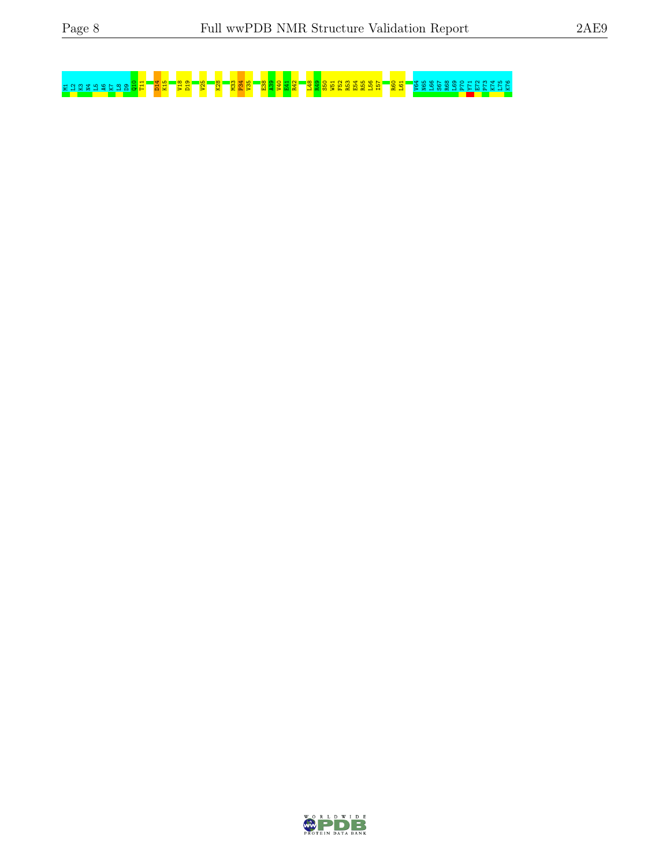# M103 T21 S5 A39 <mark>S5 P34 P35 P36 P36 P38 B<sup>5</sup>2 R5</mark> R5<sup>9</sup> R5<sup>0</sup> R5<sup>8</sup> R50 B38 B38 B38 B<sub>7</sub> P<sub>8</sub> B<sub>7</sub> P<sub>8</sub> B38 B38 B5 E55 E55 E55 E55 E55 E55 E73 R69 P70 Y71 A70 P70 Y71 E73 P73 K75 E73 P73 K75 E73 P73 K75 E73 K75 E73 K75 K76

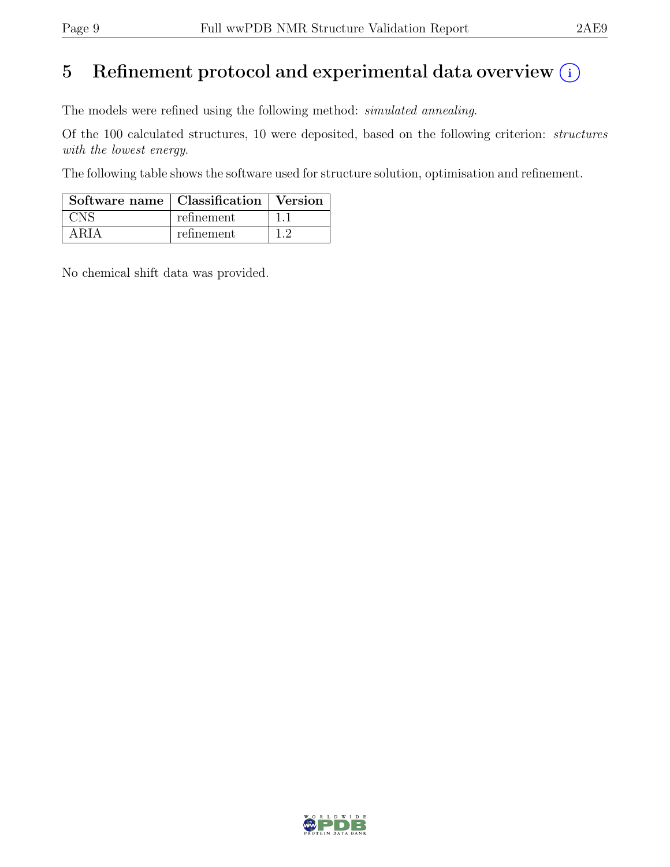# 5 Refinement protocol and experimental data overview  $(i)$

The models were refined using the following method: simulated annealing.

Of the 100 calculated structures, 10 were deposited, based on the following criterion: structures with the lowest energy.

The following table shows the software used for structure solution, optimisation and refinement.

| Software name   Classification   Version |            |  |
|------------------------------------------|------------|--|
|                                          | refinement |  |
| ARIA                                     | refinement |  |

No chemical shift data was provided.

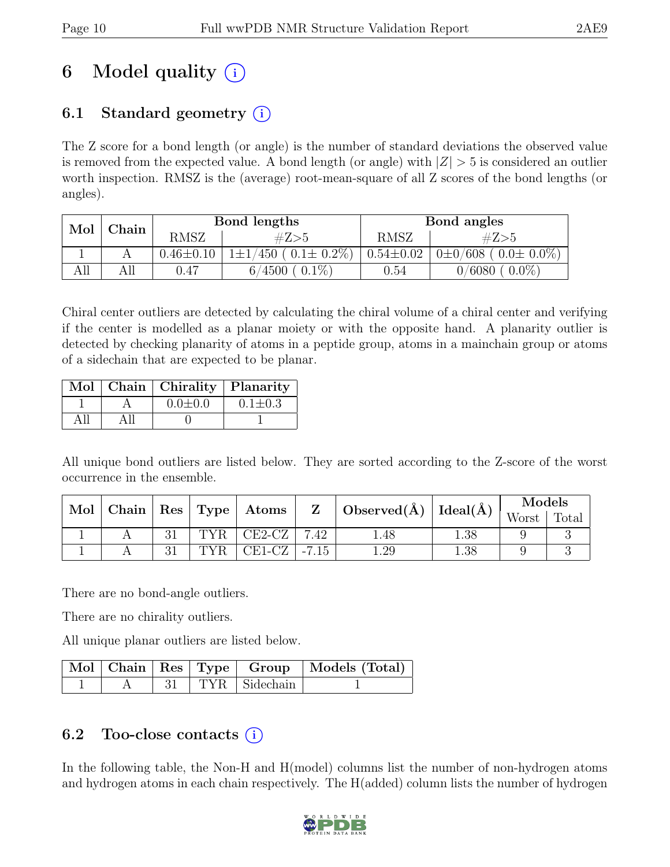# 6 Model quality  $(i)$

## 6.1 Standard geometry  $(i)$

The Z score for a bond length (or angle) is the number of standard deviations the observed value is removed from the expected value. A bond length (or angle) with  $|Z| > 5$  is considered an outlier worth inspection. RMSZ is the (average) root-mean-square of all Z scores of the bond lengths (or angles).

| Mol | Chain |                 | Bond lengths              | Bond angles     |                               |  |
|-----|-------|-----------------|---------------------------|-----------------|-------------------------------|--|
|     |       | RMSZ            | #Z>5                      | RMSZ            | #Z>5                          |  |
|     |       | $0.46 \pm 0.10$ | $/450$ ( $0.1 \pm 0.2\%)$ | $0.54{\pm}0.02$ | $0\pm0/608$ ( $0.0\pm0.0\%$ ) |  |
| All | All   | 0.47            | $0.1\%$<br>4500<br>6/     | $0.54\,$        | $0.0\%$<br>0/6080             |  |

Chiral center outliers are detected by calculating the chiral volume of a chiral center and verifying if the center is modelled as a planar moiety or with the opposite hand. A planarity outlier is detected by checking planarity of atoms in a peptide group, atoms in a mainchain group or atoms of a sidechain that are expected to be planar.

|  | Mol   Chain   Chirality   Planarity |               |
|--|-------------------------------------|---------------|
|  | $0.0 \pm 0.0$                       | $0.1 \pm 0.3$ |
|  |                                     |               |

All unique bond outliers are listed below. They are sorted according to the Z-score of the worst occurrence in the ensemble.

| Mol |    |     | $\Box$ Chain $\vert$ Res $\vert$ Type $\vert$ Atoms | $\mathbf{Z}$ | Observed( $\AA$ )   Ideal( $\AA$ ) |      | Models |       |
|-----|----|-----|-----------------------------------------------------|--------------|------------------------------------|------|--------|-------|
|     |    |     |                                                     |              |                                    |      | Worst  | Total |
|     | 21 | TYR | $CE2-CZ$                                            | 7.42         | 1.48                               | 1.38 |        |       |
|     | 21 | TYR | CE1-CZ $\mid$ -7.15                                 |              | 1.29                               | 1.38 |        |       |

There are no bond-angle outliers.

There are no chirality outliers.

All unique planar outliers are listed below.

|  |  |                        | Mol   Chain   Res   Type   Group   Models (Total) |
|--|--|------------------------|---------------------------------------------------|
|  |  | $31$   TYR   Sidechain |                                                   |

### 6.2 Too-close contacts  $(i)$

In the following table, the Non-H and H(model) columns list the number of non-hydrogen atoms and hydrogen atoms in each chain respectively. The H(added) column lists the number of hydrogen

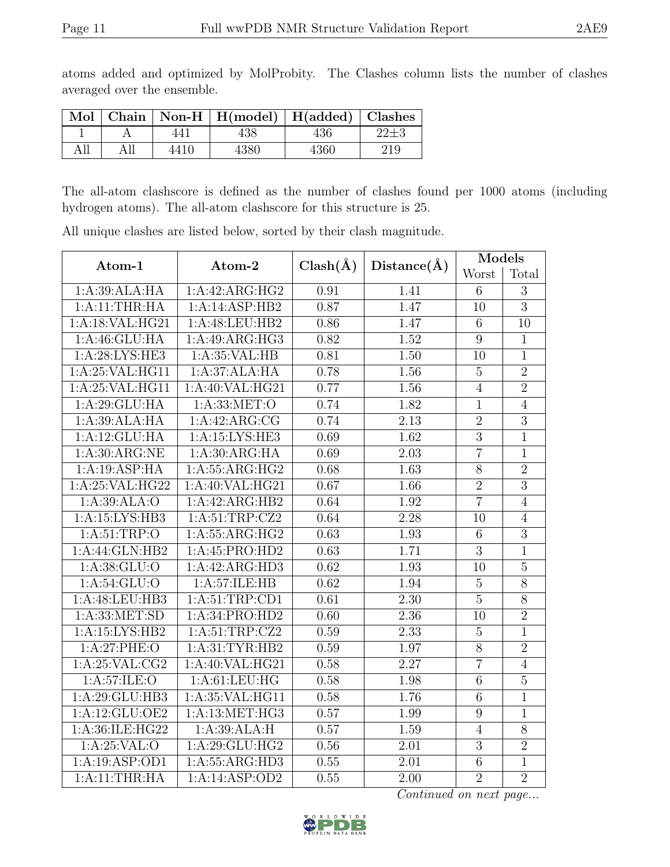atoms added and optimized by MolProbity. The Clashes column lists the number of clashes averaged over the ensemble.

|     |     |      | $\boxed{\text{Mol}$ Chain   Non-H   H(model)   H(added)   Clashes |      |     |
|-----|-----|------|-------------------------------------------------------------------|------|-----|
|     |     | 441  | 438                                                               | 436  |     |
| All | All | 4410 | 4380                                                              | 4360 | 219 |

The all-atom clashscore is defined as the number of clashes found per 1000 atoms (including hydrogen atoms). The all-atom clashscore for this structure is 25.

| Atom-1                             | Atom-2             |              |                   | <b>Models</b>   |                |
|------------------------------------|--------------------|--------------|-------------------|-----------------|----------------|
|                                    |                    | $Clash(\AA)$ | $Distance(\AA)$   | Worst           | Total          |
| 1:A:39:ALA:HA                      | 1:A:42:ARG:HG2     | 0.91         | 1.41              | 6               | $\overline{3}$ |
| 1:A:11:THR:HA                      | 1:A:14:ASP:HB2     | 0.87         | 1.47              | 10              | $\overline{3}$ |
| 1:A:18:VAL:HG21                    | 1:A:48:LEU:HB2     | 0.86         | 1.47              | $\sqrt{6}$      | 10             |
| 1: A:46: GLU: HA                   | 1:A:49:ARG:HG3     | 0.82         | $\overline{1.52}$ | 9               | $\mathbf{1}$   |
| 1:A:28:LYS:HE3                     | 1:A:35:VAL:HB      | 0.81         | 1.50              | 10              | $\mathbf{1}$   |
| 1: A:25: VAL:HG11                  | 1:A:37:ALA:HA      | 0.78         | 1.56              | $\overline{5}$  | $\overline{2}$ |
| 1:A:25:VAL:HG11                    | 1:A:40:VAL:HG21    | 0.77         | 1.56              | $\overline{4}$  | $\overline{2}$ |
| 1:A:29:GLU:HA                      | 1:A:33:MET:O       | 0.74         | 1.82              | $\mathbf{1}$    | $\overline{4}$ |
| 1:A:39:ALA:HA                      | 1:A:42:ARG:CG      | 0.74         | 2.13              | $\overline{2}$  | $\overline{3}$ |
| 1:A:12:GLU:HA                      | 1:A:15:LYS:HE3     | 0.69         | 1.62              | $\overline{3}$  | $\overline{1}$ |
| 1: A:30:ARG:NE                     | 1:A:30:ARG:HA      | 0.69         | 2.03              | $\overline{7}$  | $\mathbf{1}$   |
| 1:A:19:ASP:HA                      | 1: A: 55: ARG: HG2 | 0.68         | 1.63              | $\overline{8}$  | $\overline{2}$ |
| 1:A:25:VAL:HG22                    | 1:A:40:VAL:HG21    | 0.67         | 1.66              | $\overline{2}$  | $\overline{3}$ |
| 1:A:39:ALA:O                       | 1:A:42:ARG:HB2     | 0.64         | 1.92              | $\overline{7}$  | $\overline{4}$ |
| 1:A:15:LYS:HB3                     | 1:A:51:TRP:CZ2     | 0.64         | 2.28              | 10              | $\overline{4}$ |
| 1: A:51:TRP:O                      | 1: A: 55: ARG: HG2 | 0.63         | 1.93              | 6               | $\overline{3}$ |
| $1:A:44:G\overline{\text{LN:HB2}}$ | 1:A:45:PRO:HD2     | 0.63         | 1.71              | $\overline{3}$  | $\mathbf{1}$   |
| 1: A: 38: GLU:O                    | 1:A:42:ARG:HD3     | 0.62         | 1.93              | 10              | $\overline{5}$ |
| 1: A:54: GLU:O                     | 1:A:57:ILE:HB      | 0.62         | 1.94              | $\bf 5$         | $8\,$          |
| 1:A:48:LEU:HB3                     | 1:A:51:TRP:CD1     | 0.61         | 2.30              | $\overline{5}$  | 8              |
| 1: A: 33: MET: SD                  | 1:A:34:PRO:HD2     | 0.60         | 2.36              | 10              | $\overline{2}$ |
| 1:A:15:LYS:HB2                     | 1:A:51:TRP:CZ2     | 0.59         | 2.33              | $\mathbf 5$     | $\mathbf{1}$   |
| 1: A:27:PHE:O                      | 1: A:31:TYR:HB2    | 0.59         | 1.97              | 8               | $\overline{2}$ |
| 1: A:25:VAL:CG2                    | 1:A:40:VAL:HG21    | 0.58         | 2.27              | $\overline{7}$  | $\overline{4}$ |
| 1: A:57: ILE: O                    | 1: A:61:LEU:HG     | 0.58         | 1.98              | $\overline{6}$  | $\overline{5}$ |
| 1:A:29:GLU:HB3                     | 1:A:35:VAL:HG11    | 0.58         | 1.76              | $\overline{6}$  | $\mathbf{1}$   |
| 1:A:12:GLU:OE2                     | 1:A:13:MET:HG3     | 0.57         | 1.99              | $9\phantom{.0}$ | $\mathbf{1}$   |
| 1:A:36:ILE:HG22                    | 1:A:39:ALA:H       | 0.57         | 1.59              | $\overline{4}$  | $\overline{8}$ |
| 1: A:25:VAL:O                      | 1: A:29: GLU: HG2  | 0.56         | 2.01              | $\sqrt{3}$      | $\overline{2}$ |
| 1:A:19:ASP:OD1                     | 1: A: 55: ARG: HD3 | 0.55         | 2.01              | $\overline{6}$  | $\mathbf{1}$   |
| 1:A:11:THR:HA                      | 1:A:14:ASP:OD2     | 0.55         | 2.00              | $\overline{2}$  | $\overline{2}$ |

All unique clashes are listed below, sorted by their clash magnitude.

Continued on next page...

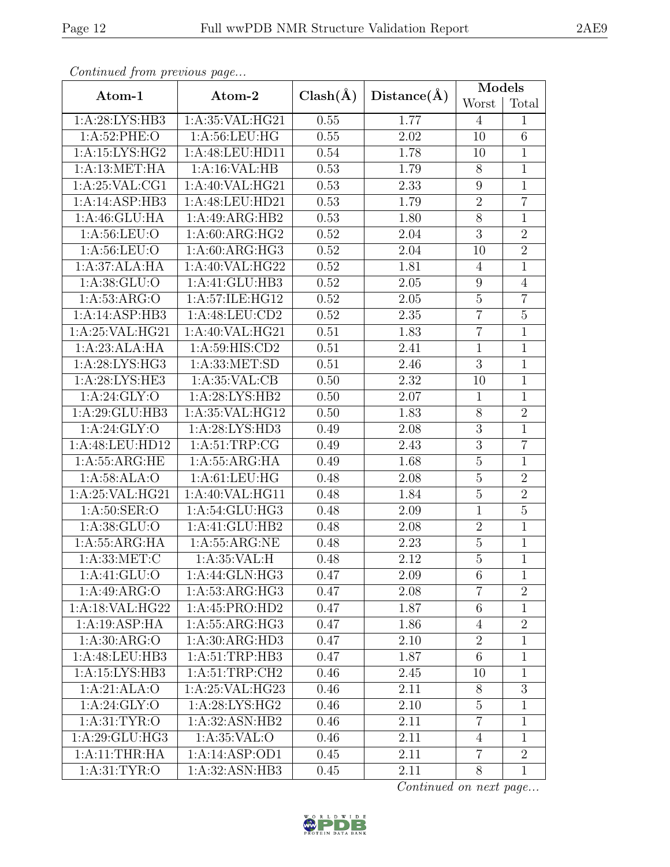| Contentaca from precious page |                                            |              |             | Models           |                |  |
|-------------------------------|--------------------------------------------|--------------|-------------|------------------|----------------|--|
| Atom-1                        | Atom-2                                     | $Clash(\AA)$ | Distance(A) | Worst            | Total          |  |
| 1:A:28:LYS:HB3                | 1:A:35:VAL:HG21                            | 0.55         | 1.77        | $\overline{4}$   | $\mathbf{1}$   |  |
| 1: A:52:PHE:O                 | 1: A:56:LEU:HG                             | 0.55         | 2.02        | 10               | 6              |  |
| 1:A:15:LYS:HG2                | 1:A:48:LEU:HD11                            | 0.54         | 1.78        | 10               | $\mathbf{1}$   |  |
| 1:A:13:MET:HA                 | 1:A:16:VAL:HB                              | 0.53         | 1.79        | $8\,$            | $\overline{1}$ |  |
| 1: A:25: VAL:CG1              | 1:A:40:VAL:HG21                            | 0.53         | 2.33        | $\boldsymbol{9}$ | $\mathbf{1}$   |  |
| 1:A:14:ASP:HB3                | 1:A:48:LEU:HD21                            | 0.53         | 1.79        | $\sqrt{2}$       | $\overline{7}$ |  |
| 1:A:46:GLU:HA                 | 1:A:49:ARG:HB2                             | 0.53         | 1.80        | $8\,$            | $\mathbf{1}$   |  |
| 1: A:56:LEU:O                 | 1: A:60: ARG:HG2                           | 0.52         | 2.04        | $\sqrt{3}$       | $\overline{2}$ |  |
| 1: A:56:LEU:O                 | 1: A:60: ARG:HG3                           | 0.52         | 2.04        | 10               | $\overline{2}$ |  |
| 1:A:37:ALA:HA                 | 1:A:40:VAL:HG22                            | 0.52         | 1.81        | 4                | $\mathbf{1}$   |  |
| 1:A:38:GLU:O                  | 1:A:41:GLU:HB3                             | 0.52         | 2.05        | $9\phantom{.0}$  | $\overline{4}$ |  |
| 1: A:53: ARG:O                | 1:A:57:ILE:HG12                            | 0.52         | 2.05        | $\mathbf 5$      | $\overline{7}$ |  |
| 1:A:14:ASP:HB3                | 1:A:48:LEU:CD2                             | 0.52         | 2.35        | $\overline{7}$   | $\overline{5}$ |  |
| 1:A:25:VAL:HG21               | $1:A:40:V\overline{\text{AL}:H\text{G}21}$ | 0.51         | 1.83        | $\overline{7}$   | $\mathbf{1}$   |  |
| 1:A:23:ALA:HA                 | 1:A:59:HIS:CD2                             | 0.51         | 2.41        | $\mathbf{1}$     | $\mathbf{1}$   |  |
| 1: A:28: LYS: HG3             | 1: A: 33: MET: SD                          | 0.51         | 2.46        | 3                | $\overline{1}$ |  |
| 1:A:28:LYS:HE3                | 1: A:35: VAL:CB                            | 0.50         | 2.32        | 10               | $\mathbf{1}$   |  |
| 1: A:24: GLY:O                | 1:A:28:LYS:HB2                             | 0.50         | 2.07        | $\mathbf{1}$     | $\mathbf{1}$   |  |
| 1:A:29:GLU:HB3                | 1:A:35:VAL:HG12                            | 0.50         | 1.83        | 8                | $\overline{2}$ |  |
| 1: A:24: GLY:O                | 1:A:28:LYS:HD3                             | 0.49         | 2.08        | $\boldsymbol{3}$ | $\mathbf{1}$   |  |
| 1:A:48:LEU:HD12               | 1: A:51:TRP:CG                             | 0.49         | 2.43        | $\overline{3}$   | $\overline{7}$ |  |
| 1: A: 55: ARG: HE             | 1:A:55:ARG:HA                              | 0.49         | 1.68        | $\mathbf 5$      | $\mathbf{1}$   |  |
| 1:A:58:ALA:O                  | 1: A: 61: LEU: HG                          | 0.48         | 2.08        | $\overline{5}$   | $\overline{2}$ |  |
| 1:A:25:VAL:HG21               | 1:A:40:VAL:HG11                            | 0.48         | 1.84        | $\bf 5$          | $\overline{2}$ |  |
| 1: A:50: SER:O                | 1:A:54:GLU:HG3                             | 0.48         | 2.09        | $\mathbf{1}$     | $\overline{5}$ |  |
| 1: A:38: GLU:O                | 1:A:41:GLU:HB2                             | 0.48         | 2.08        | $\overline{2}$   | $\overline{1}$ |  |
| 1:A:55:ARG:HA                 | 1: A: 55: ARG: NE                          | 0.48         | 2.23        | $\bf 5$          | $\mathbf{1}$   |  |
| 1: A: 33: MET: C              | 1: A:35:VAL:H                              | 0.48         | 2.12        | $\overline{5}$   | $\overline{1}$ |  |
| 1:A:41:GLU:O                  | 1: A:44: GLN: HG3                          | 0.47         | 2.09        | 6                | 1              |  |
| 1:A:49:ARG:O                  | 1: A:53: ARG:HG3                           | 0.47         | 2.08        | $\overline{7}$   | $\overline{2}$ |  |
| 1:A:18:VAL:HG22               | 1:A:45:PRO:HD2                             | 0.47         | 1.87        | $6\,$            | $\mathbf{1}$   |  |
| 1:A:19:ASP:HA                 | 1:A:55:ARG:HG3                             | 0.47         | 1.86        | $\overline{4}$   | $\overline{2}$ |  |
| 1: A:30: ARG:O                | 1:A:30:ARG:HD3                             | 0.47         | 2.10        | $\overline{2}$   | $\mathbf{1}$   |  |
| 1:A:48:LEU:HB3                | 1: A:51:TRP:HB3                            | 0.47         | 1.87        | 6                | $\mathbf{1}$   |  |
| 1:A:15:LYS:HB3                | 1: A:51:TRP:CH2                            | 0.46         | 2.45        | 10               | $\mathbf{1}$   |  |
| 1:A:21:ALA:O                  | 1: A:25: VAL:HG23                          | 0.46         | 2.11        | 8                | 3              |  |
| 1: A:24: GLY:O                | 1: A:28: LYS: HG2                          | 0.46         | 2.10        | $\overline{5}$   | $\mathbf{1}$   |  |
| $1: A:31: \overline{TYR:O}$   | 1:A:32:ASN:HB2                             | 0.46         | 2.11        | $\overline{7}$   | $\mathbf{1}$   |  |
| 1: A:29: GLU: HG3             | 1: A:35:VAL:O                              | 0.46         | 2.11        | 4                | $\mathbf{1}$   |  |
| 1:A:11:THR:HA                 | 1:A:14:ASP:OD1                             | 0.45         | 2.11        | $\overline{7}$   | $\overline{2}$ |  |
| 1: A:31: TYR:O                | 1:A:32:ASN:HB3                             | 0.45         | 2.11        | 8                | $\mathbf{1}$   |  |

Continued from previous page.

Continued on next page...

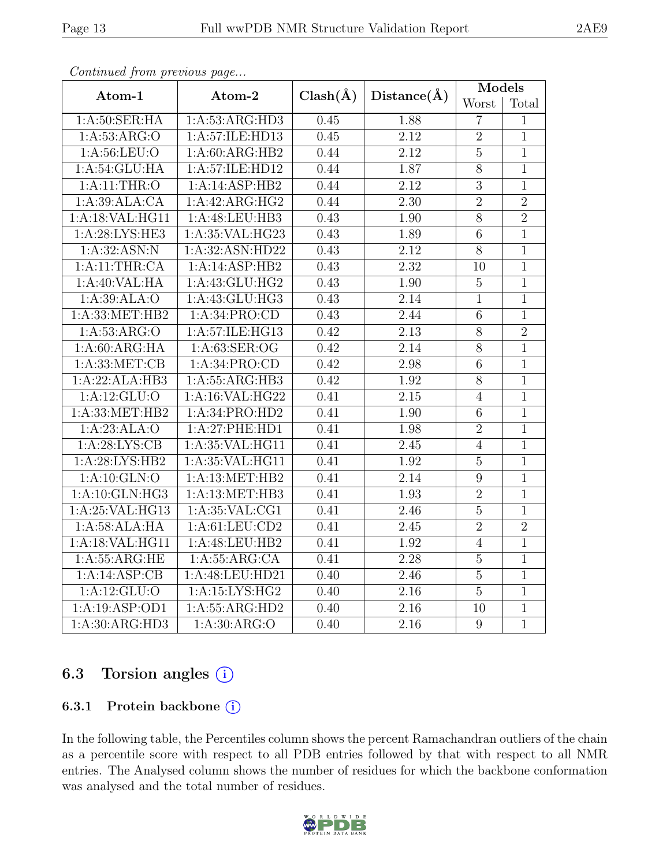|                   |                    |              |                   | Models         |                |
|-------------------|--------------------|--------------|-------------------|----------------|----------------|
| Atom-1            | Atom-2             | $Clash(\AA)$ | Distance(A)       | Worst          | Total          |
| 1: A:50: SER: HA  | 1: A: 53: ARG: HD3 | 0.45         | 1.88              | $\overline{7}$ | 1              |
| 1: A: 53: ARG: O  | 1:A:57:ILE:HD13    | 0.45         | 2.12              | $\overline{2}$ | $\overline{1}$ |
| 1: A:56: LEU:O    | 1:A:60:ARG:HB2     | 0.44         | 2.12              | $\overline{5}$ | $\overline{1}$ |
| 1: A:54:GLU:HA    | 1:A:57:ILE:HD12    | 0.44         | 1.87              | $\overline{8}$ | $\mathbf{1}$   |
| 1: A:11:THR:O     | 1:A:14:ASP:HB2     | 0.44         | 2.12              | $\overline{3}$ | $\mathbf{1}$   |
| 1:A:39:ALA:CA     | 1:A:42:ARG:HG2     | 0.44         | $\overline{2.30}$ | $\overline{2}$ | $\overline{2}$ |
| 1: A:18: VAL:HGI1 | 1:A:48:LEU:HB3     | 0.43         | 1.90              | $\overline{8}$ | $\overline{2}$ |
| 1: A:28:LYS:HE3   | 1: A:35: VAL:HG23  | 0.43         | 1.89              | $\overline{6}$ | $\mathbf{1}$   |
| 1: A:32: ASN: N   | 1:A:32:ASN:HD22    | 0.43         | 2.12              | $\overline{8}$ | $\mathbf{1}$   |
| 1:A:11:THR:CA     | 1:A:14:ASP:HB2     | 0.43         | 2.32              | 10             | $\mathbf{1}$   |
| 1:A:40:VAL:HA     | 1: A: 43: GLU: HG2 | 0.43         | $\overline{1.90}$ | $\overline{5}$ | $\overline{1}$ |
| 1:A:39:ALA:O      | 1: A: 43: GLU: HG3 | 0.43         | 2.14              | $\mathbf{1}$   | $\mathbf{1}$   |
| 1:A:33:MET:HB2    | 1:A:34:PRO:CD      | 0.43         | 2.44              | $\,6\,$        | $\mathbf{1}$   |
| 1: A: 53: ARG: O  | 1: A:57: ILE: HG13 | 0.42         | 2.13              | $\overline{8}$ | $\overline{2}$ |
| 1: A:60: ARG:HA   | 1: A:63: SER:OG    | 0.42         | 2.14              | $\overline{8}$ | $\overline{1}$ |
| 1: A: 33: MET: CB | 1:A:34:PRO:CD      | 0.42         | 2.98              | $\overline{6}$ | $\mathbf{1}$   |
| 1:A:22:ALA:HB3    | 1:A:55:ARG:HB3     | 0.42         | 1.92              | $\overline{8}$ | $\mathbf{1}$   |
| 1: A:12: GLU:     | 1: A:16: VAL:HG22  | 0.41         | 2.15              | $\overline{4}$ | $\mathbf{1}$   |
| 1:A:33:MET:HB2    | 1:A:34:PRO:HD2     | 0.41         | 1.90              | $\overline{6}$ | $\overline{1}$ |
| 1:A:23:ALA:O      | 1:A:27:PHE:HD1     | 0.41         | 1.98              | $\overline{2}$ | $\mathbf{1}$   |
| 1: A:28: LYS: CB  | 1: A:35: VAL:HGI1  | 0.41         | 2.45              | $\overline{4}$ | $\mathbf{1}$   |
| 1:A:28:LYS:HB2    | 1:A:35:VAL:HG11    | 0.41         | 1.92              | $\mathbf 5$    | $\mathbf{1}$   |
| 1:A:10:GLN:O      | 1:A:13:MET:HB2     | 0.41         | 2.14              | $\overline{9}$ | $\overline{1}$ |
| 1:A:10:GLN:HG3    | 1:A:13:MET:HB3     | 0.41         | 1.93              | $\overline{2}$ | $\overline{1}$ |
| 1: A:25:VAL:HG13  | 1:A:35:VAL:CG1     | 0.41         | 2.46              | $\overline{5}$ | $\mathbf{1}$   |
| 1:A:58:ALA:HA     | 1: A:61:LEU:CD2    | 0.41         | 2.45              | $\overline{2}$ | $\overline{2}$ |
| 1:A:18:VAL:HG11   | 1:A:48:LEU:HB2     | 0.41         | 1.92              | $\overline{4}$ | $\overline{1}$ |
| 1: A: 55: ARG: HE | 1: A: 55: ARG:CA   | 0.41         | 2.28              | $\overline{5}$ | $\overline{1}$ |
| 1:A:14:ASP:CB     | 1:A:48:LEU:HD21    | 0.40         | 2.46              | $\bf 5$        | $\mathbf{1}$   |
| 1:A:12:GLU:O      | 1:A:15:LYS:HG2     | 0.40         | 2.16              | $\overline{5}$ | $\mathbf{1}$   |
| 1:A:19:ASP:OD1    | 1:A:55:ARG:HD2     | 0.40         | 2.16              | 10             | $\mathbf{1}$   |
| 1:A:30:ARG:HD3    | 1:A:30:ARG:O       | 0.40         | 2.16              | $\overline{9}$ | $\overline{1}$ |

Continued from previous page...

### 6.3 Torsion angles (i)

#### 6.3.1 Protein backbone (i)

In the following table, the Percentiles column shows the percent Ramachandran outliers of the chain as a percentile score with respect to all PDB entries followed by that with respect to all NMR entries. The Analysed column shows the number of residues for which the backbone conformation was analysed and the total number of residues.

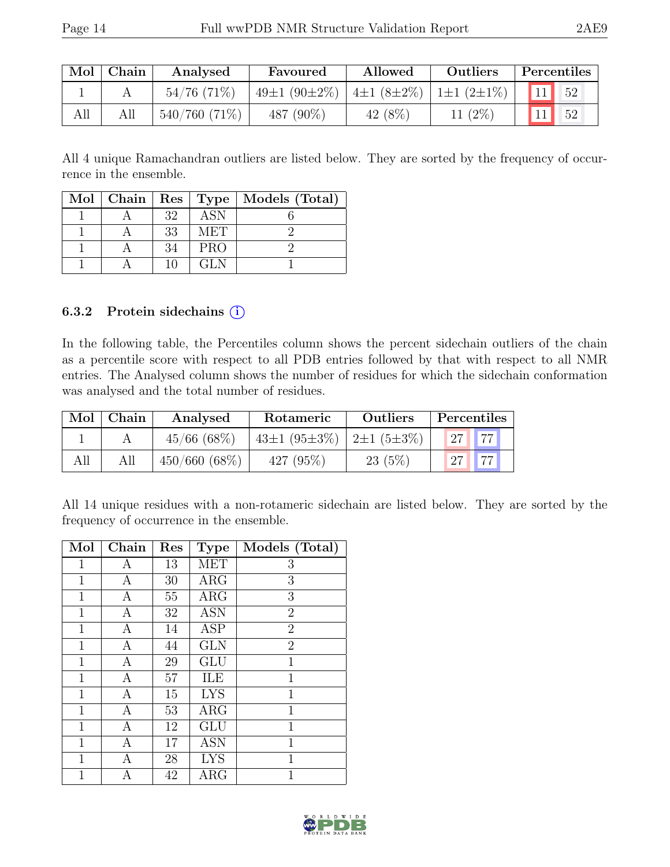|     | Mol   Chain | Analysed<br>Favoured |                                        | Allowed    | Outliers   | Percentiles                    |  |  |
|-----|-------------|----------------------|----------------------------------------|------------|------------|--------------------------------|--|--|
|     |             | $54/76$ (71\%)       | 49±1 (90±2%)   4±1 (8±2%)   1±1 (2±1%) |            |            | $11 \overline{\phantom{0}} 52$ |  |  |
| All |             | $540/760(71\%)$      | 487 (90%)                              | 42 $(8\%)$ | 11 $(2\%)$ |                                |  |  |

All 4 unique Ramachandran outliers are listed below. They are sorted by the frequency of occurrence in the ensemble.

|  |    |            | Mol   Chain   Res   Type   Models (Total) |
|--|----|------------|-------------------------------------------|
|  | 32 | ASN        |                                           |
|  | 33 | MET        |                                           |
|  | 34 | <b>PRO</b> |                                           |
|  |    | GLN        |                                           |

#### 6.3.2 Protein sidechains (i)

In the following table, the Percentiles column shows the percent sidechain outliers of the chain as a percentile score with respect to all PDB entries followed by that with respect to all NMR entries. The Analysed column shows the number of residues for which the sidechain conformation was analysed and the total number of residues.

|     | $Mol$ Chain | Rotameric<br>Analysed |                                   | <b>Outliers</b> |    | Percentiles |  |
|-----|-------------|-----------------------|-----------------------------------|-----------------|----|-------------|--|
|     |             | $45/66$ (68\%)        | 43±1 $(95\pm3\%)$ 2±1 $(5\pm3\%)$ |                 | 27 | H           |  |
| All | All         | 450/660(68%)          | 427 (95%)                         | 23(5%)          | 27 | 77          |  |

All 14 unique residues with a non-rotameric sidechain are listed below. They are sorted by the frequency of occurrence in the ensemble.

| Mol          | Chain | Res | <b>Type</b> | Models (Total) |
|--------------|-------|-----|-------------|----------------|
| $\mathbf{1}$ | А     | 13  | <b>MET</b>  | 3              |
| $\mathbf{1}$ | А     | 30  | ARG         | 3              |
| $\mathbf{1}$ | Α     | 55  | $\rm{ARG}$  | 3              |
| $\mathbf{1}$ | A     | 32  | <b>ASN</b>  | $\overline{2}$ |
| $\mathbf{1}$ | Α     | 14  | <b>ASP</b>  | $\overline{2}$ |
| 1            | A     | 44  | <b>GLN</b>  | $\overline{2}$ |
| 1            | Α     | 29  | GLU         | 1              |
| $\mathbf 1$  | A     | 57  | ILE         | 1              |
| $\mathbf{1}$ | A     | 15  | <b>LYS</b>  | 1              |
| $\mathbf 1$  | A     | 53  | $\rm{ARG}$  | 1              |
| $\mathbf{1}$ | A     | 12  | GLU         | 1              |
| 1            | A     | 17  | <b>ASN</b>  | 1              |
| 1            | A     | 28  | <b>LYS</b>  | 1              |
| 1            | А     | 42  | $\rm{ARG}$  | 1              |

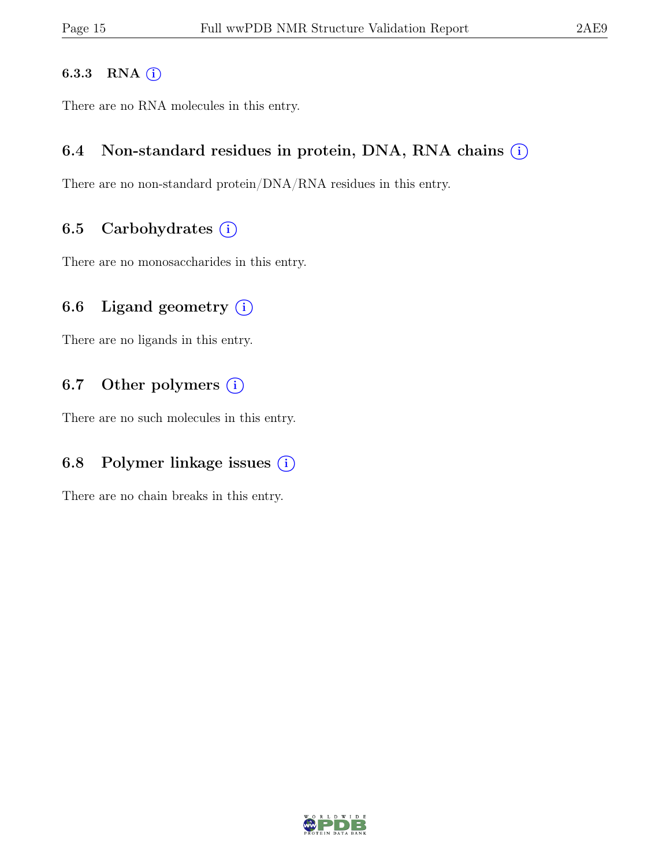#### 6.3.3 RNA  $(i)$

There are no RNA molecules in this entry.

### 6.4 Non-standard residues in protein, DNA, RNA chains  $(i)$

There are no non-standard protein/DNA/RNA residues in this entry.

### 6.5 Carbohydrates  $(i)$

There are no monosaccharides in this entry.

### 6.6 Ligand geometry  $(i)$

There are no ligands in this entry.

### 6.7 Other polymers  $(i)$

There are no such molecules in this entry.

### 6.8 Polymer linkage issues  $(i)$

There are no chain breaks in this entry.